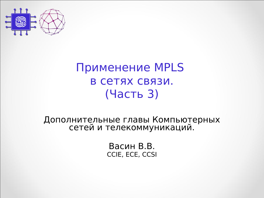

#### Применение MPLS в сетях связи. (Часть 3)

Дополнительные главы Компьютерных сетей и телекоммуникаций.

> Васин В.В. CCIE, ECE, CCSI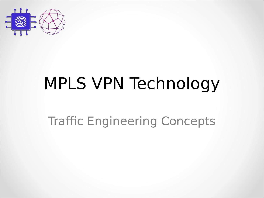

# MPLS VPN Technology

#### Traffic Engineering Concepts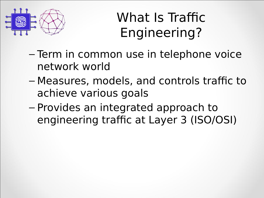

# What Is Traffic Engineering?

- Term in common use in telephone voice network world
- Measures, models, and controls traffic to achieve various goals
- $-$  Provides an integrated approach to engineering traffic at Layer 3 (ISO/OSI)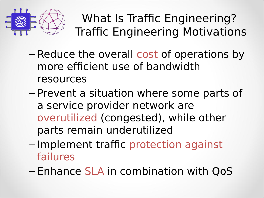

What Is Traffic Engineering? Traffic Engineering Motivations

- Reduce the overall cost of operations by more efficient use of bandwidth resources
- Prevent a situation where some parts of a service provider network are overutilized (congested), while other parts remain underutilized
- Implement traffic protection against failures
- Enhance SLA in combination with QoS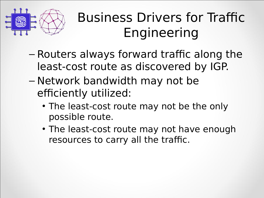

# Business Drivers for Traffic Engineering

- $-$  Routers always forward traffic along the least-cost route as discovered by IGP.
- Network bandwidth may not be efficiently utilized:
	- The least-cost route may not be the only possible route.
	- The least-cost route may not have enough resources to carry all the traffic.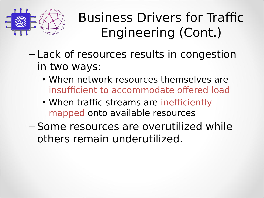

Business Drivers for Traffic Engineering (Cont.)

- Lack of resources results in congestion in two ways:
	- When network resources themselves are insufficient to accommodate offered load
	- When traffic streams are inefficiently mapped onto available resources
- Some resources are overutilized while others remain underutilized.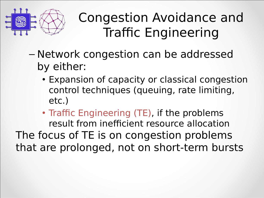

## Congestion Avoidance and Traffic Engineering

- Network congestion can be addressed by either:
	- Expansion of capacity or classical congestion control techniques (queuing, rate limiting, etc.)
- Traffic Engineering (TE), if the problems result from inefficient resource allocation The focus of TE is on congestion problems that are prolonged, not on short-term bursts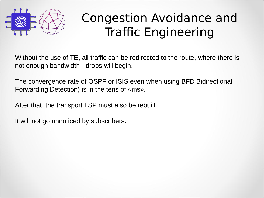

#### Congestion Avoidance and Traffic Engineering

Without the use of TE, all traffic can be redirected to the route, where there is not enough bandwidth - drops will begin.

The convergence rate of OSPF or ISIS even when using BFD Bidirectional Forwarding Detection) is in the tens of «ms».

After that, the transport LSP must also be rebuilt.

It will not go unnoticed by subscribers.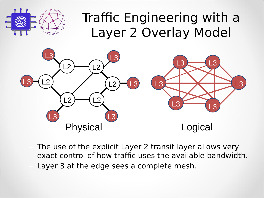

#### Traffic Engineering with a Layer 2 Overlay Model



- The use of the explicit Layer 2 transit layer allows very exact control of how traffic uses the available bandwidth.
- $-$  Layer 3 at the edge sees a complete mesh.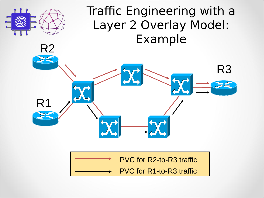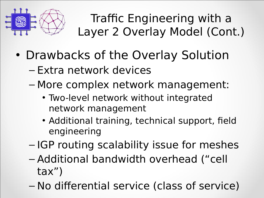

Traffic Engineering with a Layer 2 Overlay Model (Cont.)

- Drawbacks of the Overlay Solution
	- Extra network devices
	- More complex network management:
		- Two-level network without integrated network management
		- Additional training, technical support, field engineering
	- IGP routing scalability issue for meshes
	- Additional bandwidth overhead ("cell tax")
	- No differential service (class of service)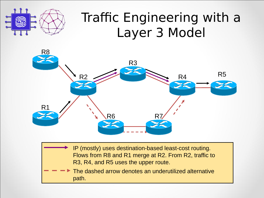## IP (mostly) uses destination-based least-cost routing. Flows from R8 and R1 merge at R2. From R2, traffic to Traffic Engineering with a Layer 3 Model R8 R5 R1 R6 R7 R3 R2 R4

The dashed arrow denotes an underutilized alternative path.

R3, R4, and R5 uses the upper route.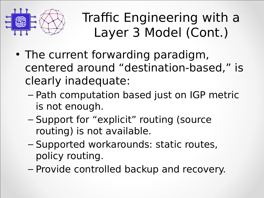

Traffic Engineering with a Layer 3 Model (Cont.)

- The current forwarding paradigm, centered around "destination-based," is clearly inadequate:
	- Path computation based just on IGP metric is not enough.
	- Support for "explicit" routing (source routing) is not available.
	- Supported workarounds: static routes, policy routing.
	- Provide controlled backup and recovery.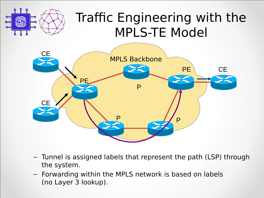### Traffic Engineering with the **MPLS-TE Model**



- Tunnel is assigned labels that represent the path (LSP) through the system.
- Forwarding within the MPLS network is based on labels (no Layer 3 lookup).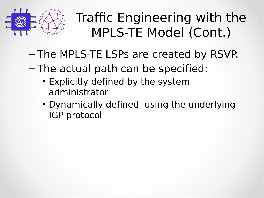

Traffic Engineering with the MPLS-TE Model (Cont.)

- The MPLS-TE LSPs are created by RSVP.
- $-$  The actual path can be specified:
	- Explicitly defined by the system administrator
	- Dynamically defined using the underlying IGP protocol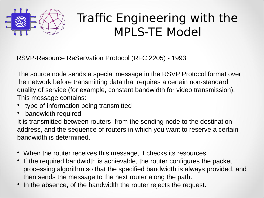

#### Traffic Engineering with the MPLS-TE Model

RSVP-Resource ReSerVation Protocol (RFC 2205) - 1993

The source node sends a special message in the RSVP Protocol format over the network before transmitting data that requires a certain non-standard quality of service (for example, constant bandwidth for video transmission). This message contains:

- type of information being transmitted
- bandwidth required.

It is transmitted between routers from the sending node to the destination address, and the sequence of routers in which you want to reserve a certain bandwidth is determined.

- When the router receives this message, it checks its resources.
- If the required bandwidth is achievable, the router configures the packet processing algorithm so that the specified bandwidth is always provided, and then sends the message to the next router along the path.
- In the absence, of the bandwidth the router rejects the request.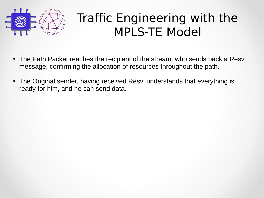

#### Traffic Engineering with the MPLS-TE Model

- The Path Packet reaches the recipient of the stream, who sends back a Resv message, confirming the allocation of resources throughout the path.
- The Original sender, having received Resv, understands that everything is ready for him, and he can send data.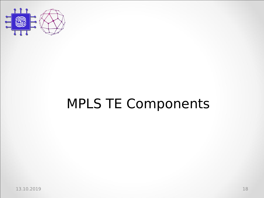

# MPLS TE Components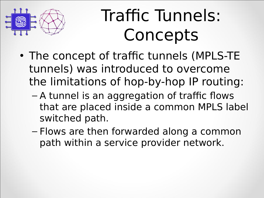

# Traffic Tunnels: Concepts

- The concept of traffic tunnels (MPLS-TE tunnels) was introduced to overcome the limitations of hop-by-hop IP routing:
	- $-$  A tunnel is an aggregation of traffic flows that are placed inside a common MPLS label switched path.
	- $-$  Flows are then forwarded along a common path within a service provider network.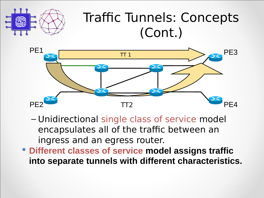

#### Traffic Tunnels: Concepts (Cont.)



- Unidirectional single class of service model encapsulates all of the traffic between an ingress and an egress router.
- **Different classes of service model assigns traffic into separate tunnels with different characteristics.**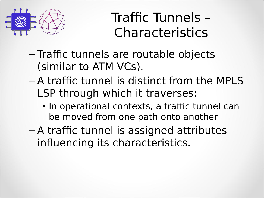

Traffic Tunnels – Characteristics

- Traffic tunnels are routable objects (similar to ATM VCs).
- $-$  A traffic tunnel is distinct from the MPLS LSP through which it traverses:
	- In operational contexts, a traffic tunnel can be moved from one path onto another
- $-$  A traffic tunnel is assigned attributes influencing its characteristics.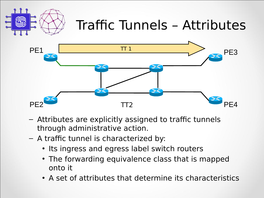

# Traffic Tunnels – Attributes



- Attributes are explicitly assigned to traffic tunnels through administrative action.
- $-$  A traffic tunnel is characterized by:
	- Its ingress and egress label switch routers
	- The forwarding equivalence class that is mapped onto it
	- A set of attributes that determine its characteristics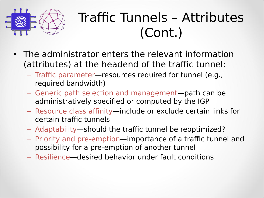

## Traffic Tunnels – Attributes (Cont.)

- The administrator enters the relevant information (attributes) at the headend of the traffic tunnel:
	- $-$  Traffic parameter—resources required for tunnel (e.g., required bandwidth)
	- Generic path selection and management—path can be administratively specified or computed by the IGP
	- Resource class affinity—include or exclude certain links for certain traffic tunnels
	- Adaptability—should the traffic tunnel be reoptimized?
	- Priority and pre-emption—importance of a traffic tunnel and possibility for a pre-emption of another tunnel
	- $-$  Resilience—desired behavior under fault conditions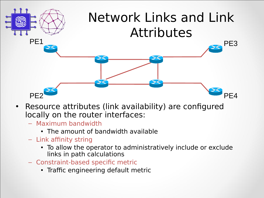

- Resource attributes (link availability) are configured locally on the router interfaces:
	- $-$  Maximum bandwidth
		- The amount of bandwidth available
	- $-$  Link affinity string
		- To allow the operator to administratively include or exclude links in path calculations
	- Constraint-based specific metric
		- Traffic engineering default metric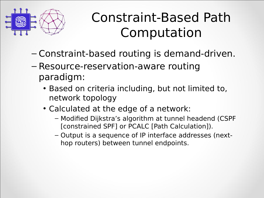

# Constraint-Based Path Computation

- Constraint-based routing is demand-driven.
- Resource-reservation-aware routing paradigm:
	- Based on criteria including, but not limited to, network topology
	- Calculated at the edge of a network:
		- Modified Dijkstra's algorithm at tunnel headend (CSPF [constrained SPF] or PCALC [Path Calculation]).
		- Output is a sequence of IP interface addresses (nexthop routers) between tunnel endpoints.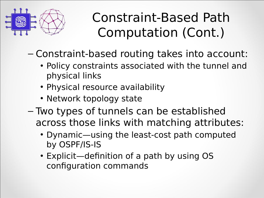

Constraint-Based Path Computation (Cont.)

– Constraint-based routing takes into account:

- Policy constraints associated with the tunnel and physical links
- Physical resource availability
- Network topology state
- $-$  Two types of tunnels can be established across those links with matching attributes:
	- Dynamic—using the least-cost path computed by OSPF/IS-IS
	- Explicit—definition of a path by using OS configuration commands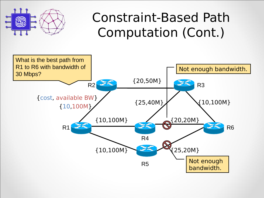

Constraint-Based Path Computation (Cont.)

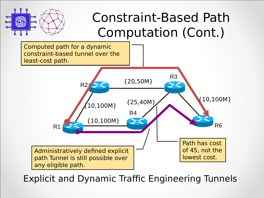

#### Constraint-Based Path Computation (Cont.)

Computed path for a dynamic constraint-based tunnel over the least-cost path. R3 {20,50M} X R2 {25,40M} {10,100M}  ${10,100M}$ R4 {10,100M} R6 R1 Path has cost Administratively defined explicit of 45, not the lowest cost. path Tunnel is still possible over any eligible path.

Explicit and Dynamic Traffic Engineering Tunnels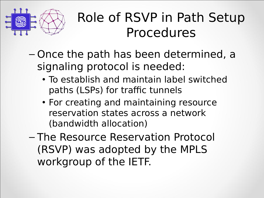

- $-$  Once the path has been determined, a signaling protocol is needed:
	- To establish and maintain label switched paths (LSPs) for traffic tunnels
	- For creating and maintaining resource reservation states across a network (bandwidth allocation)
- The Resource Reservation Protocol (RSVP) was adopted by the MPLS workgroup of the IETF.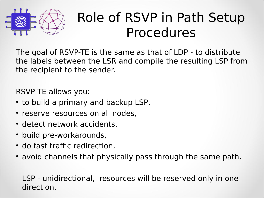

The goal of RSVP-TE is the same as that of LDP - to distribute the labels between the LSR and compile the resulting LSP from the recipient to the sender.

RSVP TE allows you:

- to build a primary and backup LSP,
- reserve resources on all nodes,
- detect network accidents,
- build pre-workarounds,
- do fast traffic redirection,
- avoid channels that physically pass through the same path.

LSP - unidirectional, resources will be reserved only in one direction.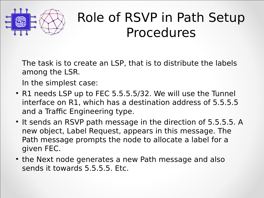

The task is to create an LSP, that is to distribute the labels among the LSR.

In the simplest case:

- R1 needs LSP up to FEC 5.5.5.5/32. We will use the Tunnel interface on R1, which has a destination address of 5.5.5.5 and a Traffic Engineering type.
- It sends an RSVP path message in the direction of 5.5.5.5. A new object, Label Request, appears in this message. The Path message prompts the node to allocate a label for a given FEC.
- the Next node generates a new Path message and also sends it towards  $5.5.5.5$ . Etc.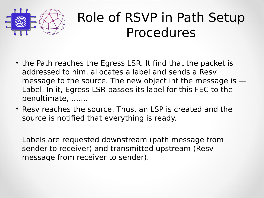

- the Path reaches the Egress LSR. It find that the packet is addressed to him, allocates a label and sends a Resv message to the source. The new object int the message is  $-$ Label. In it, Egress LSR passes its label for this FEC to the penultimate, .......
- Resv reaches the source. Thus, an LSP is created and the source is notified that everything is ready.

Labels are requested downstream (path message from sender to receiver) and transmitted upstream (Resv message from receiver to sender).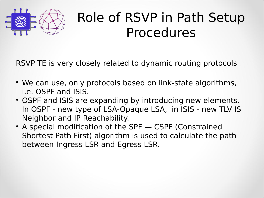

RSVP TE is very closely related to dynamic routing protocols

- We can use, only protocols based on link-state algorithms, i.e. OSPF and ISIS.
- OSPF and ISIS are expanding by introducing new elements. In OSPF - new type of LSA-Opaque LSA, in ISIS - new TLV IS Neighbor and IP Reachability.
- A special modification of the SPF CSPF (Constrained Shortest Path First) algorithm is used to calculate the path between Ingress LSR and Egress LSR.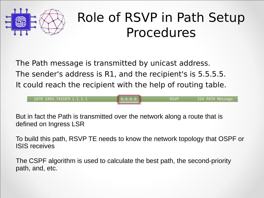

**RSVP** 

254 PATH Message.

The Path message is transmitted by unicast address. The sender's address is R1, and the recipient's is 5.5.5.5. It could reach the recipient with the help of routing table.

 $6.6.6.6$ 

2076 1493.743107(1.1.1.1

But in fact the Path is transmitted over the network along a route that is defined on Ingress LSR

To build this path, RSVP TE needs to know the network topology that OSPF or ISIS receives

The CSPF algorithm is used to calculate the best path, the second-priority path, and, etc.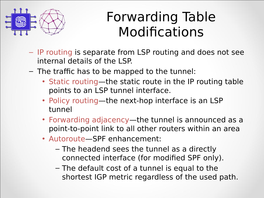

## Forwarding Table Modifications

- $-$  IP routing is separate from LSP routing and does not see internal details of the LSP.
- $-$  The traffic has to be mapped to the tunnel:
	- Static routing—the static route in the IP routing table points to an LSP tunnel interface.
	- Policy routing—the next-hop interface is an LSP tunnel
	- Forwarding adjacency—the tunnel is announced as a point-to-point link to all other routers within an area
	- Autoroute-SPF enhancement:
		- $-$  The headend sees the tunnel as a directly connected interface (for modified SPF only).
		- $-$  The default cost of a tunnel is equal to the shortest IGP metric regardless of the used path.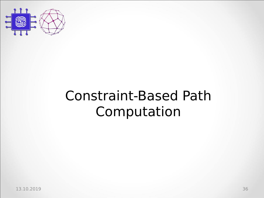

# Constraint-Based Path Computation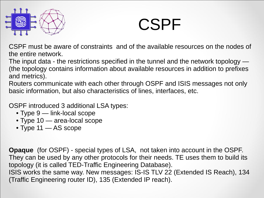

CSPF must be aware of constraints and of the available resources on the nodes of the entire network.

The input data - the restrictions specified in the tunnel and the network topology — (the topology contains information about available resources in addition to prefixes and metrics).

Routers communicate with each other through OSPF and ISIS messages not only basic information, but also characteristics of lines, interfaces, etc.

OSPF introduced 3 additional LSA types:

- Type 9 link-local scope
- Type 10 area-local scope
- Type 11 AS scope

**Opaque** (for OSPF) - special types of LSA, not taken into account in the OSPF. They can be used by any other protocols for their needs. TE uses them to build its topology (it is called TED-Traffic Engineering Database). ISIS works the same way. New messages: IS-IS TLV 22 (Extended IS Reach), 134

(Traffic Engineering router ID), 135 (Extended IP reach).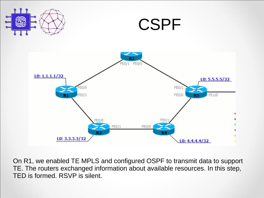





On R1, we enabled TE MPLS and configured OSPF to transmit data to support TE. The routers exchanged information about available resources. In this step, TED is formed. RSVP is silent.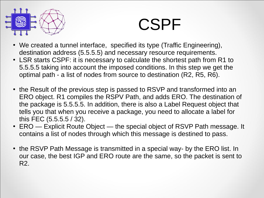

- We created a tunnel interface, specified its type (Traffic Engineering), destination address (5.5.5.5) and necessary resource requirements.
- LSR starts CSPF: it is necessary to calculate the shortest path from R1 to 5.5.5.5 taking into account the imposed conditions. In this step we get the optimal path - a list of nodes from source to destination (R2, R5, R6).
- the Result of the previous step is passed to RSVP and transformed into an ERO object. R1 compiles the RSPV Path, and adds ERO. The destination of the package is 5.5.5.5. In addition, there is also a Label Request object that tells you that when you receive a package, you need to allocate a label for this FEC (5.5.5.5 / 32).
- ERO Explicit Route Object the special object of RSVP Path message. It contains a list of nodes through which this message is destined to pass.
- the RSVP Path Message is transmitted in a special way- by the ERO list. In our case, the best IGP and ERO route are the same, so the packet is sent to R2.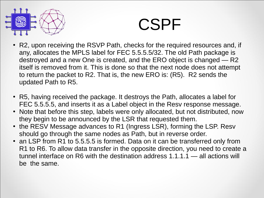

- R2, upon receiving the RSVP Path, checks for the required resources and, if any, allocates the MPLS label for FEC 5.5.5.5/32. The old Path package is destroyed and a new One is created, and the ERO object is changed — R2 itself is removed from it. This is done so that the next node does not attempt to return the packet to R2. That is, the new ERO is: (R5). R2 sends the updated Path to R5.
- R5, having received the package. It destroys the Path, allocates a label for FEC 5.5.5.5, and inserts it as a Label object in the Resv response message.
- Note that before this step, labels were only allocated, but not distributed, now they begin to be announced by the LSR that requested them.
- the RESV Message advances to R1 (Ingress LSR), forming the LSP. Resv should go through the same nodes as Path, but in reverse order.
- an LSP from R1 to 5.5.5.5 is formed. Data on it can be transferred only from R1 to R6. To allow data transfer in the opposite direction, you need to create a tunnel interface on R6 with the destination address 1.1.1.1 — all actions will be the same.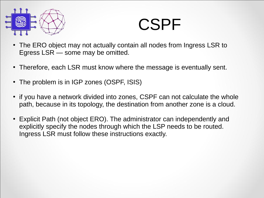

- The ERO object may not actually contain all nodes from Ingress LSR to Egress LSR — some may be omitted.
- Therefore, each LSR must know where the message is eventually sent.
- The problem is in IGP zones (OSPF, ISIS)
- if you have a network divided into zones, CSPF can not calculate the whole path, because in its topology, the destination from another zone is a cloud.
- Explicit Path (not object ERO). The administrator can independently and explicitly specify the nodes through which the LSP needs to be routed. Ingress LSR must follow these instructions exactly.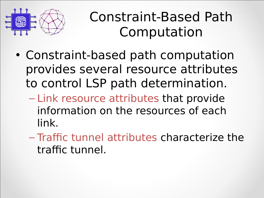

Constraint-Based Path Computation

- Constraint-based path computation provides several resource attributes to control LSP path determination.
	- Link resource attributes that provide information on the resources of each  $link.$
	- $-$  Traffic tunnel attributes characterize the traffic tunnel.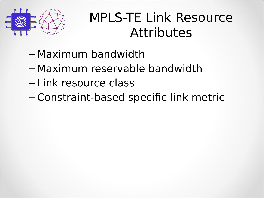

### MPLS-TE Link Resource **Attributes**

- $-$  Maximum bandwidth
- Maximum reservable bandwidth
- Link resource class
- Constraint-based specific link metric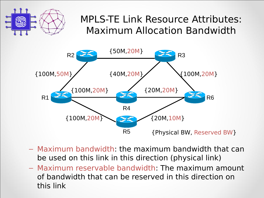

#### MPLS-TE Link Resource Attributes: Maximum Allocation Bandwidth



- $-$  Maximum bandwidth: the maximum bandwidth that can be used on this link in this direction (physical link)
- $-$  Maximum reservable bandwidth: The maximum amount of bandwidth that can be reserved in this direction on this link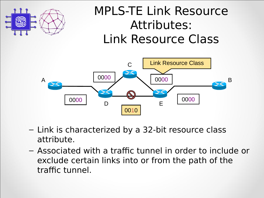

### **MPLS-TE Link Resource** Attributes: Link Resource Class



- Link is characterized by a 32-bit resource class attribute.
- Associated with a traffic tunnel in order to include or exclude certain links into or from the path of the traffic tunnel.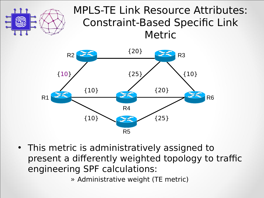

#### MPLS-TE Link Resource Attributes: Constraint-Based Specific Link Metric



• This metric is administratively assigned to present a differently weighted topology to traffic engineering SPF calculations:

» Administrative weight (TE metric)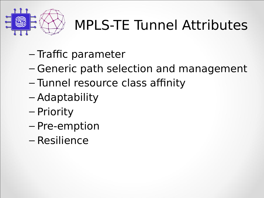

## **MPLS-TE Tunnel Attributes**

- Traffic parameter
- Generic path selection and management
- Tunnel resource class affinity
- Adaptability
- Priority
- Pre-emption
- Resilience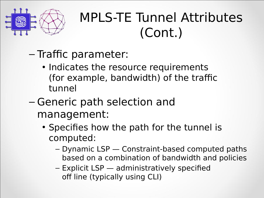

- Traffic parameter:
	- Indicates the resource requirements (for example, bandwidth) of the traffic tunnel
- $-$  Generic path selection and management:
	- Specifies how the path for the tunnel is computed:
		- $-$  Dynamic LSP  $-$  Constraint-based computed paths based on a combination of bandwidth and policies
		- $-$  Explicit LSP  $-$  administratively specified off line (typically using CLI)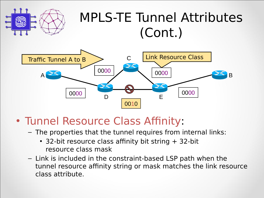

- Tunnel Resource Class Affinity:
	- The properties that the tunnel requires from internal links:
		- 32-bit resource class affinity bit string  $+$  32-bit resource class mask
	- $-$  Link is included in the constraint-based LSP path when the tunnel resource affinity string or mask matches the link resource class attribute.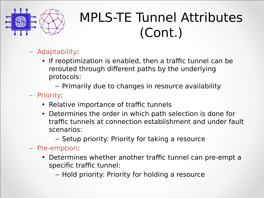

- Adaptability:
	- If reoptimization is enabled, then a traffic tunnel can be rerouted through different paths by the underlying protocols:
		- Primarily due to changes in resource availability
- Priority:
	- Relative importance of traffic tunnels
	- Determines the order in which path selection is done for traffic tunnels at connection establishment and under fault scenarios:
		- Setup priority: Priority for taking a resource
- Pre-emption:
	- Determines whether another traffic tunnel can pre-empt a specific traffic tunnel:
		- Hold priority: Priority for holding a resource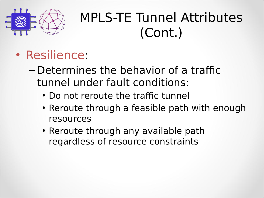

- Resilience:
	- $-$  Determines the behavior of a traffic tunnel under fault conditions:
		- Do not reroute the traffic tunnel
		- Reroute through a feasible path with enough resources
		- Reroute through any available path regardless of resource constraints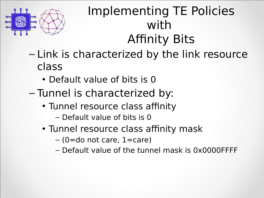

### Implementing TE Policies with **Affinity Bits**

- Link is characterized by the link resource class
	- Default value of bits is 0
- $-$  Tunnel is characterized by:
	- Tunnel resource class affinity
		- $-$  Default value of bits is 0
	- Tunnel resource class affinity mask
		- $-$  (0=do not care, 1=care)
		- $-$  Default value of the tunnel mask is 0x0000FFFF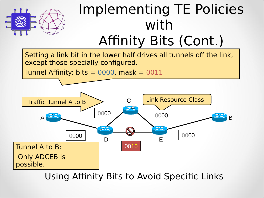

# Implementing TE Policies with

Affinity Bits (Cont.)

Setting a link bit in the lower half drives all tunnels off the link, except those specially configured.

Tunnel Affinity: bits  $= 0000$ , mask  $= 0011$ 



Using Affinity Bits to Avoid Specific Links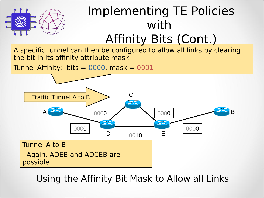

### Implementing TE Policies with Affinity Bits (Cont.)

A specific tunnel can then be configured to allow all links by clearing the bit in its affinity attribute mask.

Tunnel Affinity: bits =  $0000$ , mask =  $0001$ 



Using the Affinity Bit Mask to Allow all Links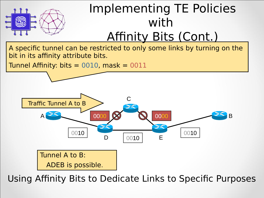

### Implementing TE Policies with Affinity Bits (Cont.)

A specific tunnel can be restricted to only some links by turning on the bit in its affinity attribute bits.

Tunnel Affinity: bits = 0010, mask = 0011



Using Affinity Bits to Dedicate Links to Specific Purposes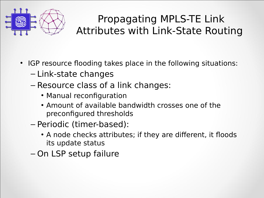

#### Propagating MPLS-TE Link Attributes with Link-State Routing

- IGP resource flooding takes place in the following situations:
	- $-$  Link-state changes
	- Resource class of a link changes:
		- Manual reconfiguration
		- Amount of available bandwidth crosses one of the preconfigured thresholds
	- Periodic (timer-based):
		- A node checks attributes; if they are different, it floods its update status
	- $-$  On LSP setup failure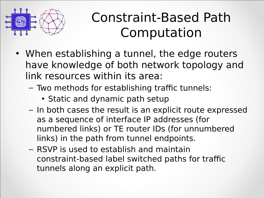

### Constraint-Based Path Computation

- When establishing a tunnel, the edge routers have knowledge of both network topology and link resources within its area:
	- Two methods for establishing traffic tunnels:
		- Static and dynamic path setup
	- $-$  In both cases the result is an explicit route expressed as a sequence of interface IP addresses (for numbered links) or TE router IDs (for unnumbered links) in the path from tunnel endpoints.
	- $-$  RSVP is used to establish and maintain constraint-based label switched paths for traffic tunnels along an explicit path.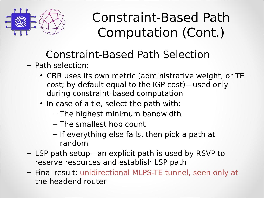

#### Constraint-Based Path Selection

- Path selection:
	- CBR uses its own metric (administrative weight, or TE cost; by default equal to the IGP cost)—used only during constraint-based computation
	- In case of a tie, select the path with:
		- $-$  The highest minimum bandwidth
		- $-$  The smallest hop count
		- $-$  If everything else fails, then pick a path at random
- LSP path setup—an explicit path is used by RSVP to reserve resources and establish LSP path
- Final result: unidirectional MLPS-TE tunnel, seen only at the headend router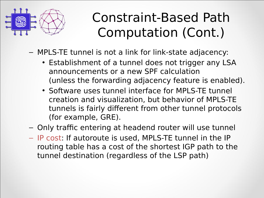

- MPLS-TE tunnel is not a link for link-state adjacency:
	- Establishment of a tunnel does not trigger any LSA announcements or a new SPF calculation (unless the forwarding adjacency feature is enabled).
	- Software uses tunnel interface for MPLS-TE tunnel creation and visualization, but behavior of MPLS-TE tunnels is fairly different from other tunnel protocols (for example,  $GRE$ ).
- Only traffic entering at headend router will use tunnel
- IP cost: If autoroute is used, MPLS-TE tunnel in the IP routing table has a cost of the shortest IGP path to the tunnel destination (regardless of the LSP path)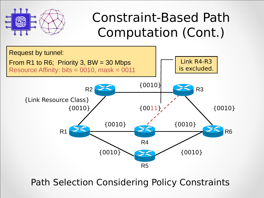



Path Selection Considering Policy Constraints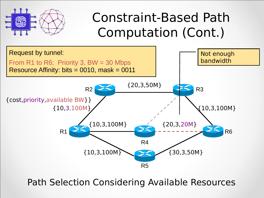



Path Selection Considering Available Resources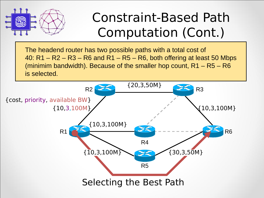

The headend router has two possible paths with a total cost of 40:  $R1 - R2 - R3 - R6$  and  $R1 - R5 - R6$ , both offering at least 50 Mbps (minimim bandwidth). Because of the smaller hop count, R1 – R5 – R6 is selected.

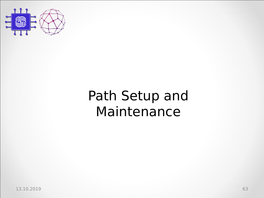

### Path Setup and Maintenance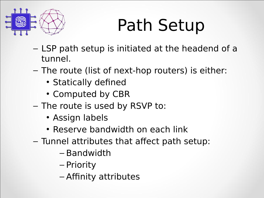

# Path Setup

- LSP path setup is initiated at the headend of a tunnel.
- $-$  The route (list of next-hop routers) is either:
	- Statically defined
	- Computed by CBR
- The route is used by RSVP to:
	- Assign labels
	- Reserve bandwidth on each link
- $-$  Tunnel attributes that affect path setup:
	- Bandwidth
	- Priority
	- Affinity attributes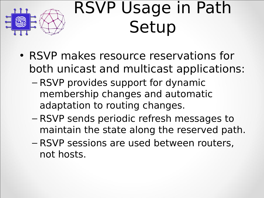

# RSVP Usage in Path Setup

- RSVP makes resource reservations for both unicast and multicast applications:
	- $-$  RSVP provides support for dynamic membership changes and automatic adaptation to routing changes.
	- RSVP sends periodic refresh messages to maintain the state along the reserved path.
	- RSVP sessions are used between routers, not hosts.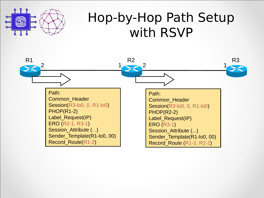

### Hop-by-Hop Path Setup with RSVP

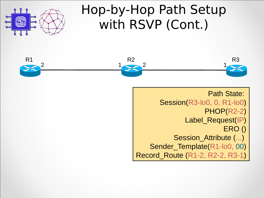

### Hop-by-Hop Path Setup with RSVP (Cont.)



Path State: Session(R3-lo0, 0, R1-lo0) PHOP(R2-2) Label Request(IP) ERO () Session\_Attribute (...) Sender Template(R1-lo0, 00) Record\_Route (R1-2, R2-2, R3-1)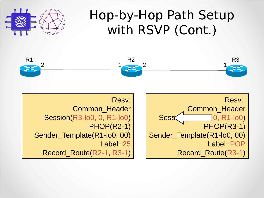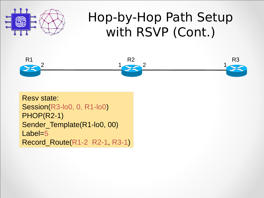

### Hop-by-Hop Path Setup with RSVP (Cont.)



Resv state: Session(R3-lo0, 0, R1-lo0) PHOP(R2-1) Sender Template(R1-lo0, 00) Label=5 Record\_Route(R1-2, R2-1, R3-1)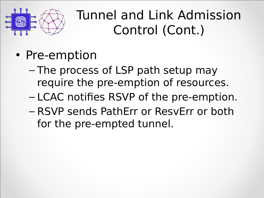

### Tunnel and Link Admission Control (Cont.)

- Pre-emption
	- $-$  The process of LSP path setup may require the pre-emption of resources.
	- LCAC notifies RSVP of the pre-emption.
	- RSVP sends PathErr or ResvErr or both for the pre-empted tunnel.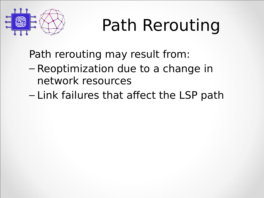

# Path Rerouting

Path rerouting may result from:

- $-$  Reoptimization due to a change in network resources
- $-$  Link failures that affect the LSP path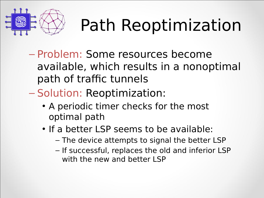

# Path Reoptimization

- Problem: Some resources become available, which results in a nonoptimal path of traffic tunnels
- Solution: Reoptimization:
	- A periodic timer checks for the most optimal path
	- If a better LSP seems to be available:
		- The device attempts to signal the better LSP
		- If successful, replaces the old and inferior LSP with the new and better LSP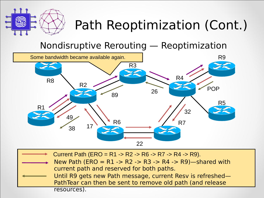

### Path Reoptimization (Cont.)

#### Nondisruptive Rerouting — Reoptimization



| → Current Path (ERO = R1 -> R2 -> R6 -> R7 -> R4 -> R9).   |
|------------------------------------------------------------|
| New Path (ERO = R1 -> R2 -> R3 -> R4 -> R9)-shared with    |
| current path and reserved for both paths.                  |
| Until R9 gets new Path message, current Resy is refreshed- |
| PathTear can then be sent to remove old path (and release  |
| resources).                                                |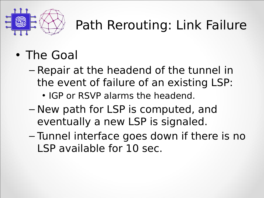

### Path Rerouting: Link Failure

- The Goal
	- $-$  Repair at the headend of the tunnel in the event of failure of an existing LSP:
		- $\cdot$  IGP or RSVP alarms the headend.
	- New path for LSP is computed, and eventually a new LSP is signaled.
	- $-$  Tunnel interface goes down if there is no LSP available for 10 sec.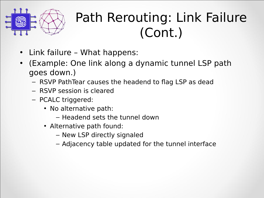

#### Path Rerouting: Link Failure (Cont.)

- Link failure What happens:
- (Example: One link along a dynamic tunnel LSP path goes down.)
	- RSVP PathTear causes the headend to flag LSP as dead
	- $-$  RSVP session is cleared
	- PCALC triggered:
		- No alternative path:
			- $-$  Headend sets the tunnel down
		- Alternative path found:
			- New LSP directly signaled
			- Adjacency table updated for the tunnel interface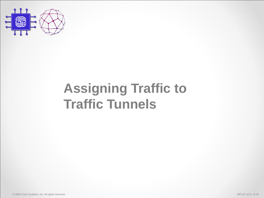

#### **Assigning Traffic to Traffic Tunnels**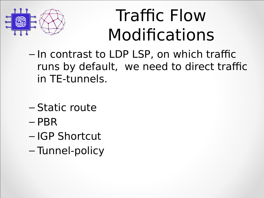

### Traffic Flow Modifications

- $-$  In contrast to LDP LSP, on which traffic runs by default, we need to direct traffic in TE-tunnels.
- $-$  Static route
- PBR
- $-$  IGP Shortcut
- Tunnel-policy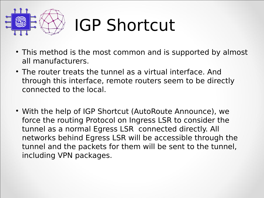

# **IGP Shortcut**

- This method is the most common and is supported by almost all manufacturers.
- The router treats the tunnel as a virtual interface. And through this interface, remote routers seem to be directly connected to the local.
- With the help of IGP Shortcut (AutoRoute Announce), we force the routing Protocol on Ingress LSR to consider the tunnel as a normal Egress LSR connected directly. All networks behind Egress LSR will be accessible through the tunnel and the packets for them will be sent to the tunnel, including VPN packages.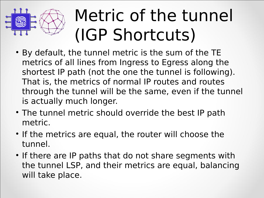

# Metric of the tunnel (IGP Shortcuts)

- By default, the tunnel metric is the sum of the TE metrics of all lines from Ingress to Egress along the shortest IP path (not the one the tunnel is following). That is, the metrics of normal IP routes and routes through the tunnel will be the same, even if the tunnel is actually much longer.
- The tunnel metric should override the best IP path metric.
- If the metrics are equal, the router will choose the tunnel.
- If there are IP paths that do not share segments with the tunnel LSP, and their metrics are equal, balancing will take place.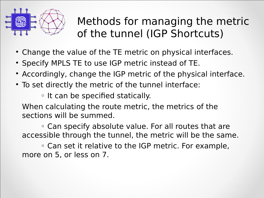

#### Methods for managing the metric of the tunnel (IGP Shortcuts)

- Change the value of the TE metric on physical interfaces.
- Specify MPLS TE to use IGP metric instead of TE.
- Accordingly, change the IGP metric of the physical interface.
- To set directly the metric of the tunnel interface:

◦ It can be specified statically.

When calculating the route metric, the metrics of the sections will be summed.

◦ Can specify absolute value. For all routes that are accessible through the tunnel, the metric will be the same.

◦ Can set it relative to the IGP metric. For example, more on 5, or less on 7.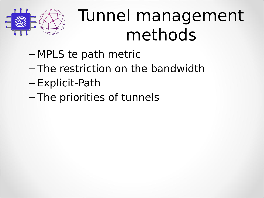

### Tunnel management methods

- $-$  MPLS te path metric
- $-$  The restriction on the bandwidth
- Explicit-Path
- $-$  The priorities of tunnels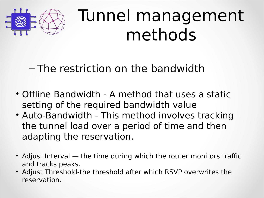

### Tunnel management methods

 $-$  The restriction on the bandwidth

- Offline Bandwidth A method that uses a static setting of the required bandwidth value
- Auto-Bandwidth This method involves tracking the tunnel load over a period of time and then adapting the reservation.
- Adjust Interval the time during which the router monitors traffic and tracks peaks.
- Adjust Threshold-the threshold after which RSVP overwrites the reservation.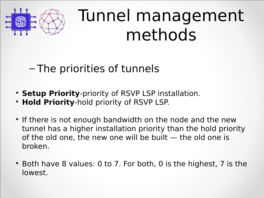

### Tunnel management methods

 $-$  The priorities of tunnels

- **Setup Priority**-priority of RSVP LSP installation.
- **Hold Priority-hold priority of RSVP LSP.**
- If there is not enough bandwidth on the node and the new tunnel has a higher installation priority than the hold priority of the old one, the new one will be built — the old one is broken.
- Both have 8 values: 0 to 7. For both, 0 is the highest, 7 is the lowest.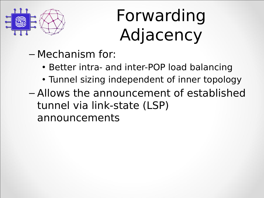

# Forwarding Adjacency

- $-$  Mechanism for:
	- Better intra- and inter-POP load balancing
	- Tunnel sizing independent of inner topology
- Allows the announcement of established tunnel via link-state (LSP) announcements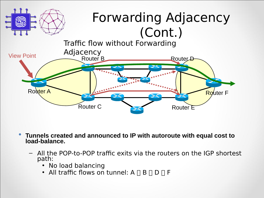

- **Tunnels created and announced to IP with autoroute with equal cost to load-balance.**
	- All the POP-to-POP traffic exits via the routers on the IGP shortest path:
		- No load balancing
		- All traffic flows on tunnel:  $A \cap B \cap D \cap F$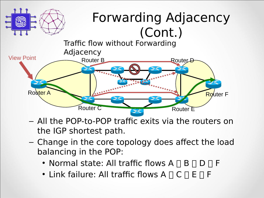

- All the POP-to-POP traffic exits via the routers on the IGP shortest path.
- $-$  Change in the core topology does affect the load balancing in the POP:
	- Normal state: All traffic flows  $A \sqcap B \sqcap D \sqcap F$
	- Link failure: All traffic flows  $A \cap C \cap E \cap F$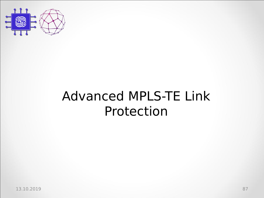

#### Advanced MPLS-TE Link Protection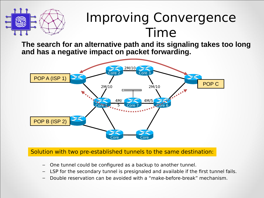

#### **Improving Convergence** Time

**The search for an alternative path and its signaling takes too long and has a negative impact on packet forwarding.**



Solution with two pre-established tunnels to the same destination:

- One tunnel could be configured as a backup to another tunnel.
- LSP for the secondary tunnel is presignaled and available if the first tunnel fails.
- Double reservation can be avoided with a "make-before-break" mechanism.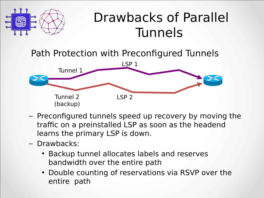

#### Drawbacks of Parallel Tunnels

Path Protection with Preconfigured Tunnels



- Preconfigured tunnels speed up recovery by moving the traffic on a preinstalled LSP as soon as the headend learns the primary LSP is down.
- Drawbacks:
	- Backup tunnel allocates labels and reserves bandwidth over the entire path
	- Double counting of reservations via RSVP over the entire path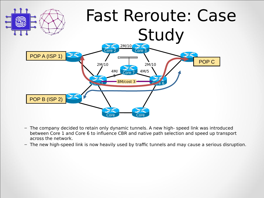

- The company decided to retain only dynamic tunnels. A new high- speed link was introduced between Core 1 and Core 6 to influence CBR and native path selection and speed up transport across the network.
- The new high-speed link is now heavily used by traffic tunnels and may cause a serious disruption.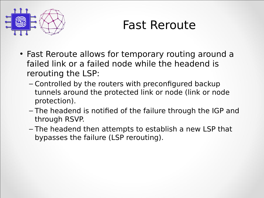

#### Fast Reroute

- Fast Reroute allows for temporary routing around a failed link or a failed node while the headend is rerouting the LSP:
	- Controlled by the routers with preconfigured backup tunnels around the protected link or node (link or node protection).
	- The headend is notified of the failure through the IGP and through RSVP.
	- The headend then attempts to establish a new LSP that bypasses the failure (LSP rerouting).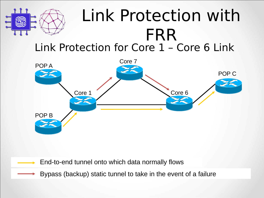

#### Link Protection for Core 1 - Core 6 Link Link Protection with FRR



End-to-end tunnel onto which data normally flows

Bypass (backup) static tunnel to take in the event of a failure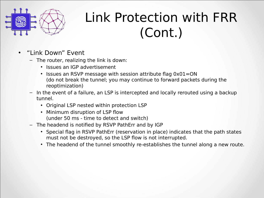

### Link Protection with FRR (Cont.)

- "Link Down" Event
	- $-$  The router, realizing the link is down:
		- Issues an IGP advertisement
		- Issues an RSVP message with session attribute flag  $0x01=ON$ (do not break the tunnel; you may continue to forward packets during the reoptimization)
	- $-$  In the event of a failure, an LSP is intercepted and locally rerouted using a backup tunnel.
		- Original LSP nested within protection LSP
		- Minimum disruption of LSP flow (under 50 ms - time to detect and switch)
	- The headend is notified by RSVP PathErr and by IGP
		- Special flag in RSVP PathErr (reservation in place) indicates that the path states must not be destroyed, so the LSP flow is not interrupted.
		- The headend of the tunnel smoothly re-establishes the tunnel along a new route.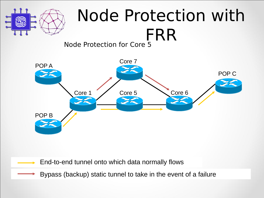

### Node Protection with FRR

Node Protection for Core 5



End-to-end tunnel onto which data normally flows

Bypass (backup) static tunnel to take in the event of a failure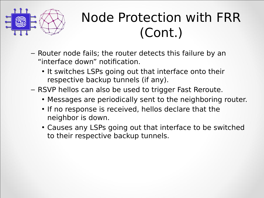

#### Node Protection with FRR (Cont.)

- Router node fails; the router detects this failure by an "interface down" notification.
	- It switches LSPs going out that interface onto their respective backup tunnels (if any).
- RSVP hellos can also be used to trigger Fast Reroute.
	- Messages are periodically sent to the neighboring router.
	- If no response is received, hellos declare that the neighbor is down.
	- Causes any LSPs going out that interface to be switched to their respective backup tunnels.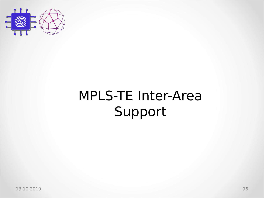

### MPLS-TE Inter-Area Support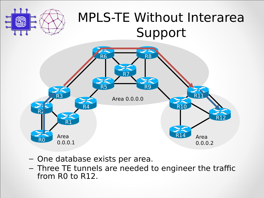

#### MPLS-TE Without Interarea Support



- One database exists per area.
- Three TE tunnels are needed to engineer the traffic from R0 to R12.